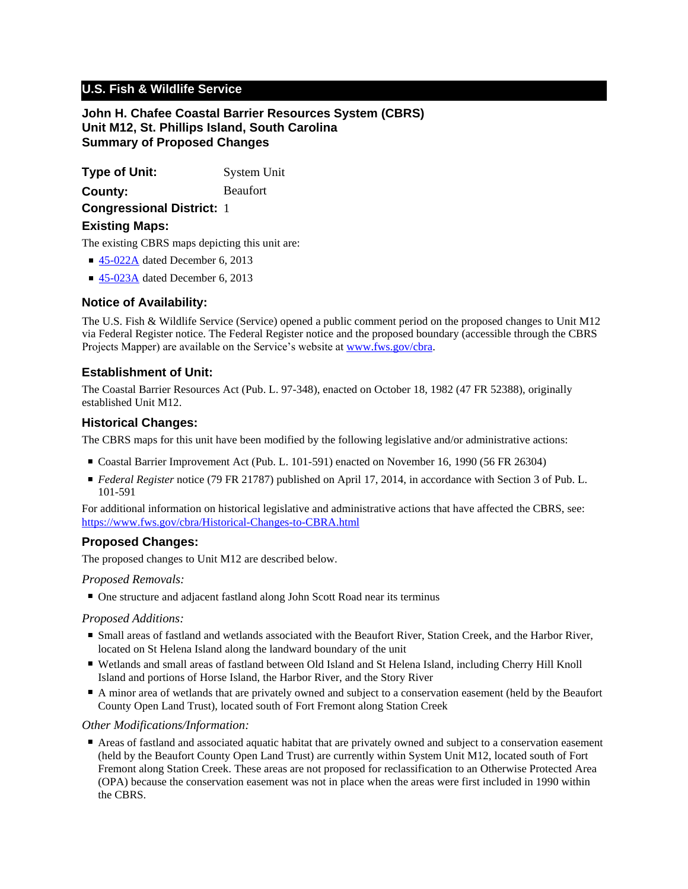# **U.S. Fish & Wildlife Service**

**John H. Chafee Coastal Barrier Resources System (CBRS) Unit M12, St. Phillips Island, South Carolina Summary of Proposed Changes**

**Type of Unit:** System Unit **Congressional District:** 1 **County:** Beaufort

## **Existing Maps:**

The existing CBRS maps depicting this unit are:

- [45-022A](http://www.fws.gov/cbra/maps/effective/45-022A.pdf) dated December 6, 2013
- [45-023A](http://www.fws.gov/cbra/maps/effective/45-023A.pdf) dated December 6, 2013

# **Notice of Availability:**

The U.S. Fish & Wildlife Service (Service) opened a public comment period on the proposed changes to Unit M12 via Federal Register notice. The Federal Register notice and the proposed boundary (accessible through the CBRS Projects Mapper) are available on the Service's website at www.fws.gov/cbra.

# **Establishment of Unit:**

The Coastal Barrier Resources Act (Pub. L. 97-348), enacted on October 18, 1982 (47 FR 52388), originally established Unit M12.

### **Historical Changes:**

The CBRS maps for this unit have been modified by the following legislative and/or administrative actions:

- Coastal Barrier Improvement Act (Pub. L. 101-591) enacted on November 16, 1990 (56 FR 26304)
- *Federal Register* notice (79 FR 21787) published on April 17, 2014, in accordance with Section 3 of Pub. L. 101-591

For additional information on historical legislative and administrative actions that have affected the CBRS, see: <https://www.fws.gov/cbra/Historical-Changes-to-CBRA.html>

# **Proposed Changes:**

The proposed changes to Unit M12 are described below.

#### *Proposed Removals:*

■ One structure and adjacent fastland along John Scott Road near its terminus

#### *Proposed Additions:*

- Small areas of fastland and wetlands associated with the Beaufort River, Station Creek, and the Harbor River, located on St Helena Island along the landward boundary of the unit
- Wetlands and small areas of fastland between Old Island and St Helena Island, including Cherry Hill Knoll Island and portions of Horse Island, the Harbor River, and the Story River
- A minor area of wetlands that are privately owned and subject to a conservation easement (held by the Beaufort County Open Land Trust), located south of Fort Fremont along Station Creek

#### *Other Modifications/Information:*

■ Areas of fastland and associated aquatic habitat that are privately owned and subject to a conservation easement (held by the Beaufort County Open Land Trust) are currently within System Unit M12, located south of Fort Fremont along Station Creek. These areas are not proposed for reclassification to an Otherwise Protected Area (OPA) because the conservation easement was not in place when the areas were first included in 1990 within the CBRS.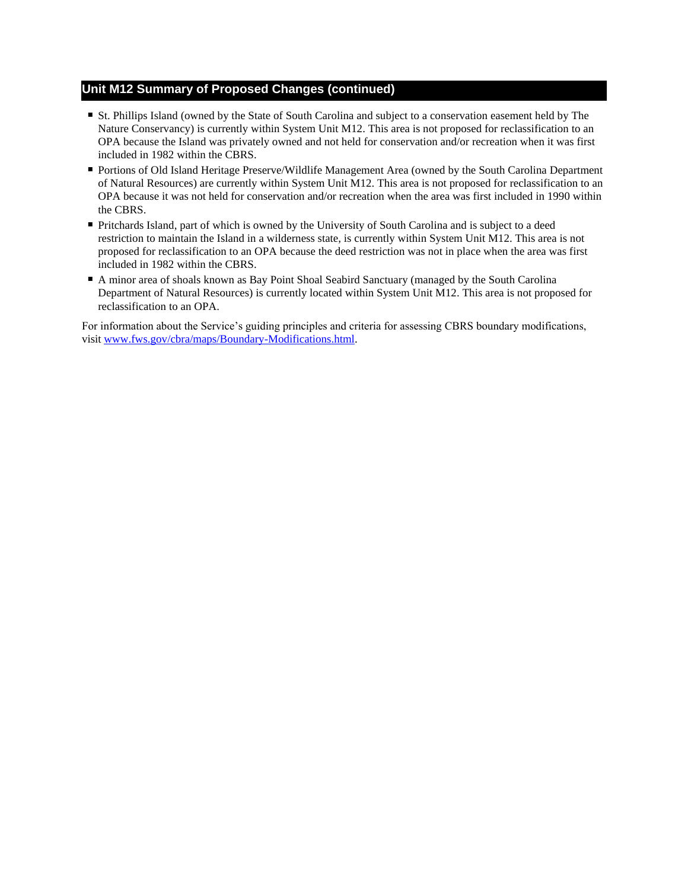# **Unit M12 Summary of Proposed Changes (continued)**

- St. Phillips Island (owned by the State of South Carolina and subject to a conservation easement held by The Nature Conservancy) is currently within System Unit M12. This area is not proposed for reclassification to an OPA because the Island was privately owned and not held for conservation and/or recreation when it was first included in 1982 within the CBRS.
- Portions of Old Island Heritage Preserve/Wildlife Management Area (owned by the South Carolina Department of Natural Resources) are currently within System Unit M12. This area is not proposed for reclassification to an OPA because it was not held for conservation and/or recreation when the area was first included in 1990 within the CBRS.
- Pritchards Island, part of which is owned by the University of South Carolina and is subject to a deed restriction to maintain the Island in a wilderness state, is currently within System Unit M12. This area is not proposed for reclassification to an OPA because the deed restriction was not in place when the area was first included in 1982 within the CBRS.
- A minor area of shoals known as Bay Point Shoal Seabird Sanctuary (managed by the South Carolina Department of Natural Resources) is currently located within System Unit M12. This area is not proposed for reclassification to an OPA.

For information about the Service's guiding principles and criteria for assessing CBRS boundary modifications, visit www.fws.gov/cbra/maps/Boundary-Modifications.html.